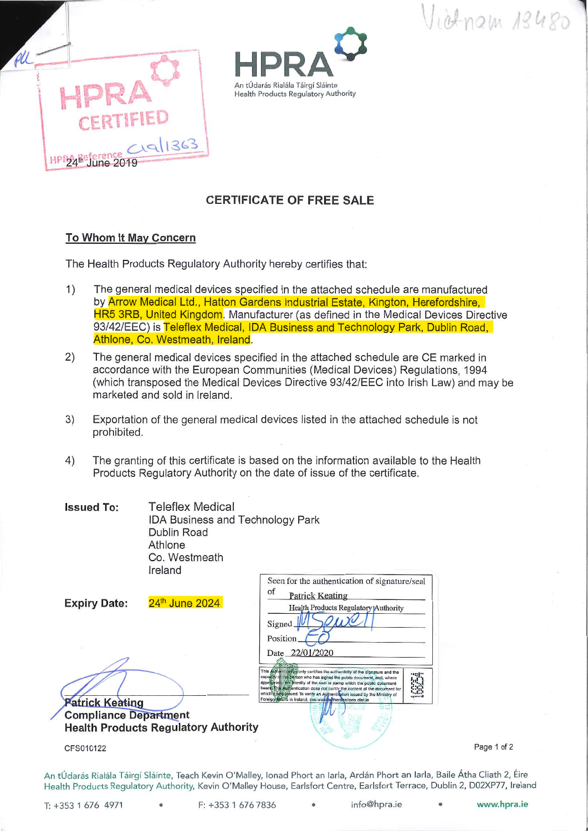Vietnam 13480





## **CERTIFICATE OF FREE SALE**

## To Whom It May Concern

The Health Products Regulatory Authority hereby certifies that:

- $1)$ The general medical devices specified in the attached schedule are manufactured by Arrow Medical Ltd., Hatton Gardens Industrial Estate, Kington, Herefordshire, HR5 3RB, United Kingdom. Manufacturer (as defined in the Medical Devices Directive 93/42/EEC) is Teleflex Medical, IDA Business and Technology Park, Dublin Road, Athlone, Co. Westmeath, Ireland.
- $2)$ The general medical devices specified in the attached schedule are CE marked in accordance with the European Communities (Medical Devices) Regulations, 1994 (which transposed the Medical Devices Directive 93/42/EEC into Irish Law) and may be marketed and sold in Ireland.
- Exportation of the general medical devices listed in the attached schedule is not 3) prohibited.
- The granting of this certificate is based on the information available to the Health  $4)$ Products Regulatory Authority on the date of issue of the certificate.

| <b>Issued To:</b> | <b>Teleflex Medical</b>                 |  |
|-------------------|-----------------------------------------|--|
|                   | <b>IDA Business and Technology Park</b> |  |
|                   | Dublin Road                             |  |
|                   | Athlone                                 |  |
|                   | Co. Westmeath                           |  |
|                   | Ireland                                 |  |

| 24th June 2024<br><b>Expiry Date:</b>                                                                 | Seen for the authentication of signature/seal<br>of<br><b>Patrick Keating</b><br>Health Products Regulatory Authority<br>Signed<br>Position                                                                                                                                                                                                                                                                                                                                              |
|-------------------------------------------------------------------------------------------------------|------------------------------------------------------------------------------------------------------------------------------------------------------------------------------------------------------------------------------------------------------------------------------------------------------------------------------------------------------------------------------------------------------------------------------------------------------------------------------------------|
| <b>Patrick Keating</b><br><b>Compliance Department</b><br><b>Health Products Regulatory Authority</b> | Date 22/01/2020<br>This Authentication/only certifies the authenticity of the signature and the<br>·•::t<br>capagity of the person who has signed the public document, and, where<br>approgriate, the identity of the seal or stamp which the public document<br>bears. This Authentication does not certify the content of the document for<br>which (Lyds issued. To verify an Authentication Issued by the Ministry of<br>Foreign Alfairs in Ireland, see www.authentications.dlat.ie |
| CFS010122                                                                                             |                                                                                                                                                                                                                                                                                                                                                                                                                                                                                          |

Page 1 of 2

An tÚdarás Rialála Táirgí Sláinte, Teach Kevin O'Malley, Ionad Phort an Iarla, Ardán Phort an Iarla, Baile Átha Cliath 2, Éire Health Products Regulatory Authority, Kevin O'Malley House, Earlsfort Centre, Earlsfort Terrace, Dublin 2, D02XP77, Ireland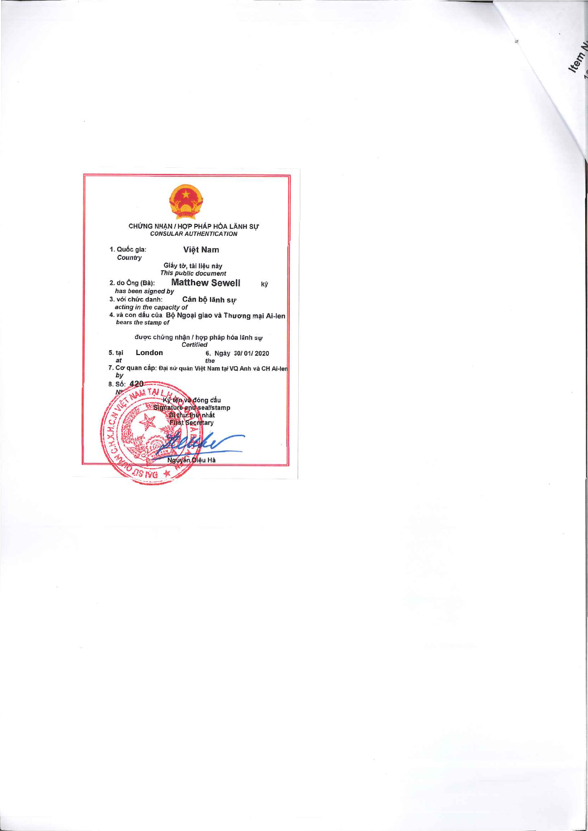| CHỨNG NHÀN / HỢP PHÁP HÓA LÃNH SỰ<br><b>CONSULAR AUTHENTICATION</b>  |  |  |  |  |
|----------------------------------------------------------------------|--|--|--|--|
| 1. Quốc gia:<br>Việt Nam<br>Country<br>Giấy tờ, tài liêu này         |  |  |  |  |
| This public document                                                 |  |  |  |  |
| <b>Matthew Sewell</b><br>2. do Ông (Bà):<br>ký<br>has been signed by |  |  |  |  |
| 3. với chức danh:<br>Cán bộ lãnh sự                                  |  |  |  |  |
| acting in the capacity of                                            |  |  |  |  |
| 4. và con dấu của Bộ Ngoại giao và Thương mại Ai-len                 |  |  |  |  |
| bears the stamp of                                                   |  |  |  |  |
| được chứng nhân / hợp pháp hóa lãnh sự<br>Certified                  |  |  |  |  |
| London<br>5. tai<br>6. Ngày 30/01/2020                               |  |  |  |  |
| at<br>the                                                            |  |  |  |  |
| 7. Cơ quan cấp: Đại sứ quán Việt Nam tại VQ Anh và CH Ai-len         |  |  |  |  |
| by                                                                   |  |  |  |  |
| 8. Số: 420                                                           |  |  |  |  |
| ET NAM TAI                                                           |  |  |  |  |
| tên và đóng dấu                                                      |  |  |  |  |
| Signature and seal/stamp                                             |  |  |  |  |
| Bi thư thin nhất                                                     |  |  |  |  |
| <b>Pirst Secretary</b>                                               |  |  |  |  |
|                                                                      |  |  |  |  |
| Nguyễn Diêu Hà                                                       |  |  |  |  |
| ns ive                                                               |  |  |  |  |
|                                                                      |  |  |  |  |
|                                                                      |  |  |  |  |